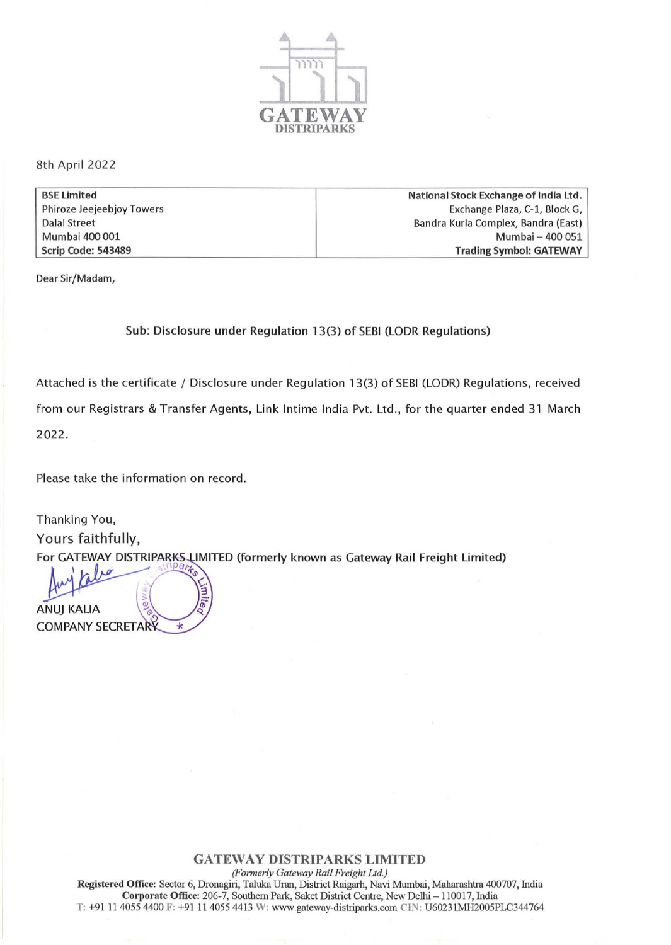

8th April 2022

| <b>BSE Limited</b>               | National Stock Exchange of India Ltd. |
|----------------------------------|---------------------------------------|
| <b>Phiroze Jeejeebjoy Towers</b> | Exchange Plaza, C-1, Block G,         |
| <b>Dalal Street</b>              | Bandra Kurla Complex, Bandra (East)   |
| Mumbai 400 001                   | Mumbai - 400 051                      |
| Scrip Code: 543489               | <b>Trading Symbol: GATEWAY</b>        |

Dear Sir/Madam,

Sub: Disclosure under Regulation 13(3) of SEBI (LODR Regulations)

Attached is the certificate / Disclosure under Regulation 13(3) of SEBI (LODR) Regulations, received from our Registrars & Transfer Agents, Link Intime India Pvt. Ltd., for the quarter ended 31 March 2022.

Please take the information on record.

Thanking You, Yours faithfully, For GATEWAY DISTRIPARKS LIMITED (formerly known as Gateway Rail Freight Limited)

**ANUJ KALIA COMPANY SECRETARY**  $\star$ 

## GATEWAY **DlSTRIPARKS LTMITED**

*(Formerly Gateway Rail Freight Ltd.)* Registered Office: Sector 6, Dronagiri, Taluka Uran, District Raigarh, Navi Mumbai, Maharashtra 400707, India Corporate Office: 206-7, Southern Park, Saket District Centre, New Delhi - 110017, India T: +91 11 4055 4400 F: +91 11 4055 4413 W: www.gateway-distriparks.com CIN: U60231MH2005PLC344764